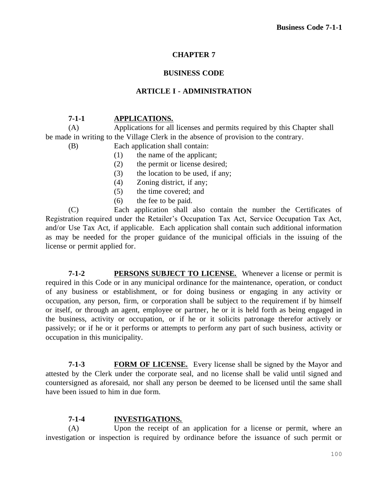## **CHAPTER 7**

### **BUSINESS CODE**

#### **ARTICLE I - ADMINISTRATION**

#### **7-1-1 APPLICATIONS.**

(A) Applications for all licenses and permits required by this Chapter shall be made in writing to the Village Clerk in the absence of provision to the contrary.

- (B) Each application shall contain:
	- (1) the name of the applicant;
	- (2) the permit or license desired;
	- (3) the location to be used, if any;
	- (4) Zoning district, if any;
	- (5) the time covered; and
	- (6) the fee to be paid.

(C) Each application shall also contain the number the Certificates of Registration required under the Retailer's Occupation Tax Act, Service Occupation Tax Act, and/or Use Tax Act, if applicable. Each application shall contain such additional information as may be needed for the proper guidance of the municipal officials in the issuing of the license or permit applied for.

**7-1-2 PERSONS SUBJECT TO LICENSE.** Whenever a license or permit is required in this Code or in any municipal ordinance for the maintenance, operation, or conduct of any business or establishment, or for doing business or engaging in any activity or occupation, any person, firm, or corporation shall be subject to the requirement if by himself or itself, or through an agent, employee or partner, he or it is held forth as being engaged in the business, activity or occupation, or if he or it solicits patronage therefor actively or passively; or if he or it performs or attempts to perform any part of such business, activity or occupation in this municipality.

**7-1-3 FORM OF LICENSE.** Every license shall be signed by the Mayor and attested by the Clerk under the corporate seal, and no license shall be valid until signed and countersigned as aforesaid, nor shall any person be deemed to be licensed until the same shall have been issued to him in due form.

#### **7-1-4 INVESTIGATIONS.**

(A) Upon the receipt of an application for a license or permit, where an investigation or inspection is required by ordinance before the issuance of such permit or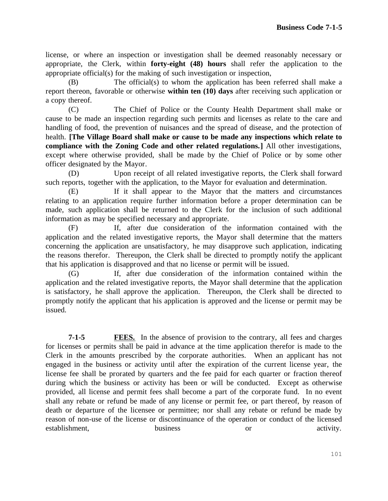license, or where an inspection or investigation shall be deemed reasonably necessary or appropriate, the Clerk, within **forty-eight (48) hours** shall refer the application to the appropriate official(s) for the making of such investigation or inspection,

(B) The official(s) to whom the application has been referred shall make a report thereon, favorable or otherwise **within ten (10) days** after receiving such application or a copy thereof.

(C) The Chief of Police or the County Health Department shall make or cause to be made an inspection regarding such permits and licenses as relate to the care and handling of food, the prevention of nuisances and the spread of disease, and the protection of health. **[The Village Board shall make or cause to be made any inspections which relate to compliance with the Zoning Code and other related regulations.]** All other investigations, except where otherwise provided, shall be made by the Chief of Police or by some other officer designated by the Mayor.

(D) Upon receipt of all related investigative reports, the Clerk shall forward such reports, together with the application, to the Mayor for evaluation and determination.

(E) If it shall appear to the Mayor that the matters and circumstances relating to an application require further information before a proper determination can be made, such application shall be returned to the Clerk for the inclusion of such additional information as may be specified necessary and appropriate.

(F) If, after due consideration of the information contained with the application and the related investigative reports, the Mayor shall determine that the matters concerning the application are unsatisfactory, he may disapprove such application, indicating the reasons therefor. Thereupon, the Clerk shall be directed to promptly notify the applicant that his application is disapproved and that no license or permit will be issued.

(G) If, after due consideration of the information contained within the application and the related investigative reports, the Mayor shall determine that the application is satisfactory, he shall approve the application. Thereupon, the Clerk shall be directed to promptly notify the applicant that his application is approved and the license or permit may be issued.

**7-1-5 FEES.** In the absence of provision to the contrary, all fees and charges for licenses or permits shall be paid in advance at the time application therefor is made to the Clerk in the amounts prescribed by the corporate authorities. When an applicant has not engaged in the business or activity until after the expiration of the current license year, the license fee shall be prorated by quarters and the fee paid for each quarter or fraction thereof during which the business or activity has been or will be conducted. Except as otherwise provided, all license and permit fees shall become a part of the corporate fund. In no event shall any rebate or refund be made of any license or permit fee, or part thereof, by reason of death or departure of the licensee or permittee; nor shall any rebate or refund be made by reason of non-use of the license or discontinuance of the operation or conduct of the licensed establishment, business or activity.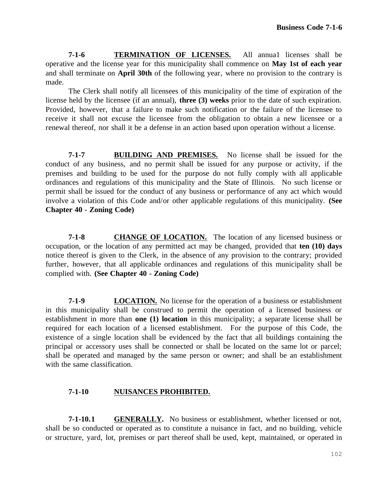**7-1-6 TERMINATION OF LICENSES.** All annua1 licenses shall be operative and the license year for this municipality shall commence on **May 1st of each year**  and shall terminate on **April 30th** of the following year, where no provision to the contrary is made.

The Clerk shall notify all licensees of this municipality of the time of expiration of the license held by the licensee (if an annual), **three (3) weeks** prior to the date of such expiration. Provided, however, that a failure to make such notification or the failure of the licensee to receive it shall not excuse the licensee from the obligation to obtain a new licensee or a renewal thereof, nor shall it be a defense in an action based upon operation without a license.

**7-1-7 BUILDING AND PREMISES.** No license shall be issued for the conduct of any business, and no permit shall be issued for any purpose or activity, if the premises and building to be used for the purpose do not fully comply with all applicable ordinances and regulations of this municipality and the State of Illinois. No such license or permit shall be issued for the conduct of any business or performance of any act which would involve a violation of this Code and/or other applicable regulations of this municipality. **(See Chapter 40 - Zoning Code)**

**7-1-8 CHANGE OF LOCATION.** The location of any licensed business or occupation, or the location of any permitted act may be changed, provided that **ten (10) days**  notice thereof is given to the Clerk, in the absence of any provision to the contrary; provided further, however, that all applicable ordinances and regulations of this municipality shall be complied with. **(See Chapter 40 - Zoning Code)**

**7-1-9 LOCATION.** No license for the operation of a business or establishment in this municipality shall be construed to permit the operation of a licensed business or establishment in more than **one (1) location** in this municipality; a separate license shall be required for each location of a licensed establishment. For the purpose of this Code, the existence of a single location shall be evidenced by the fact that all buildings containing the principal or accessory uses shall be connected or shall be located on the same lot or parcel; shall be operated and managed by the same person or owner; and shall be an establishment with the same classification.

## **7-1-10 NUISANCES PROHIBITED.**

**7-1-10.1 GENERALLY.** No business or establishment, whether licensed or not, shall be so conducted or operated as to constitute a nuisance in fact, and no building, vehicle or structure, yard, lot, premises or part thereof shall be used, kept, maintained, or operated in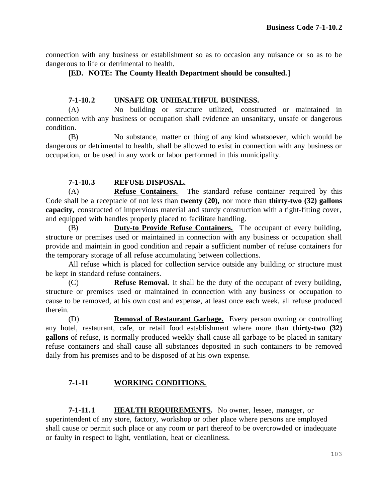connection with any business or establishment so as to occasion any nuisance or so as to be dangerous to life or detrimental to health.

**[ED. NOTE: The County Health Department should be consulted.]**

## **7-1-10.2 UNSAFE OR UNHEALTHFUL BUSINESS.**

(A) No building or structure utilized, constructed or maintained in connection with any business or occupation shall evidence an unsanitary, unsafe or dangerous condition.

(B) No substance, matter or thing of any kind whatsoever, which would be dangerous or detrimental to health, shall be allowed to exist in connection with any business or occupation, or be used in any work or labor performed in this municipality.

## **7-1-10.3 REFUSE DISPOSAL.**

(A) **Refuse Containers.** The standard refuse container required by this Code shall be a receptacle of not less than **twenty (20),** nor more than **thirty-two (32) gallons capacity,** constructed of impervious material and sturdy construction with a tight-fitting cover, and equipped with handles properly placed to facilitate handling.

(B) **Duty-to Provide Refuse Containers.** The occupant of every building, structure or premises used or maintained in connection with any business or occupation shall provide and maintain in good condition and repair a sufficient number of refuse containers for the temporary storage of all refuse accumulating between collections.

All refuse which is placed for collection service outside any building or structure must be kept in standard refuse containers.

(C) **Refuse Removal.** It shall be the duty of the occupant of every building, structure or premises used or maintained in connection with any business or occupation to cause to be removed, at his own cost and expense, at least once each week, all refuse produced therein.

(D) **Removal of Restaurant Garbage.** Every person owning or controlling any hotel, restaurant, cafe, or retail food establishment where more than **thirty-two (32) gallons** of refuse, is normally produced weekly shall cause all garbage to be placed in sanitary refuse containers and shall cause all substances deposited in such containers to be removed daily from his premises and to be disposed of at his own expense.

# **7-1-11 WORKING CONDITIONS.**

**7-1-11.1 HEALTH REQUIREMENTS.** No owner, lessee, manager, or superintendent of any store, factory, workshop or other place where persons are employed shall cause or permit such place or any room or part thereof to be overcrowded or inadequate or faulty in respect to light, ventilation, heat or cleanliness.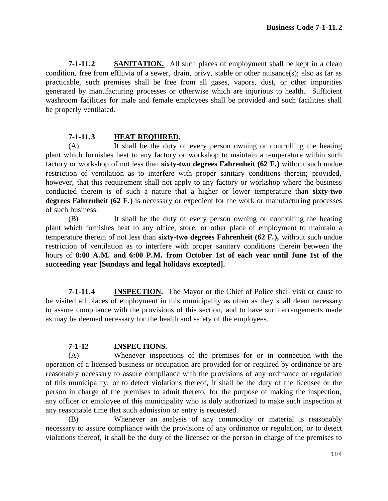**7-1-11.2 SANITATION.** All such places of employment shall be kept in a clean condition, free from effluvia of a sewer, drain, privy, stable or other nuisance(s); also as far as practicable, such premises shall be free from all gases, vapors, dust, or other impurities generated by manufacturing processes or otherwise which are injurious to health. Sufficient washroom facilities for male and female employees shall be provided and such facilities shall be properly ventilated.

#### **7-1-11.3 HEAT REQUIRED.**

(A) It shall be the duty of every person owning or controlling the heating plant which furnishes heat to any factory or workshop to maintain a temperature within such factory or workshop of not less than **sixty-two degrees Fahrenheit (62 F.)** without such undue restriction of ventilation as to interfere with proper sanitary conditions therein; provided, however, that this requirement shall not apply to any factory or workshop where the business conducted therein is of such a nature that a higher or lower temperature than **sixty-two degrees Fahrenheit (62 F.)** is necessary or expedient for the work or manufacturing processes of such business.

(B) It shall be the duty of every person owning or controlling the heating plant which furnishes heat to any office, store, or other place of employment to maintain a temperature therein of not less than **sixty-two degrees Fahrenheit (62 F.),** without such undue restriction of ventilation as to interfere with proper sanitary conditions therein between the hours of **8:00 A.M. and 6:00 P.M. from October 1st of each year until June 1st of the succeeding year [Sundays and legal holidays excepted].**

**7-1-11.4 INSPECTION.** The Mayor or the Chief of Police shall visit or cause to be visited all places of employment in this municipality as often as they shall deem necessary to assure compliance with the provisions of this section, and to have such arrangements made as may be deemed necessary for the health and safety of the employees.

#### **7-1-12 INSPECTIONS.**

(A) Whenever inspections of the premises for or in connection with the operation of a licensed business or occupation are provided for or required by ordinance or are reasonably necessary to assure compliance with the provisions of any ordinance or regulation of this municipality, or to detect violations thereof, it shall be the duty of the licensee or the person in charge of the premises to admit thereto, for the purpose of making the inspection, any officer or employee of this municipality who is duly authorized to make such inspection at any reasonable time that such admission or entry is requested.

(B) Whenever an analysis of any commodity or material is reasonably necessary to assure compliance with the provisions of any ordinance or regulation, or to detect violations thereof, it shall be the duty of the licensee or the person in charge of the premises to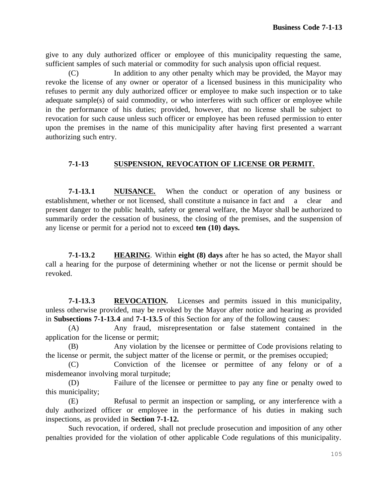give to any duly authorized officer or employee of this municipality requesting the same, sufficient samples of such material or commodity for such analysis upon official request.

(C) In addition to any other penalty which may be provided, the Mayor may revoke the license of any owner or operator of a licensed business in this municipality who refuses to permit any duly authorized officer or employee to make such inspection or to take adequate sample(s) of said commodity, or who interferes with such officer or employee while in the performance of his duties; provided, however, that no license shall be subject to revocation for such cause unless such officer or employee has been refused permission to enter upon the premises in the name of this municipality after having first presented a warrant authorizing such entry.

## **7-1-13 SUSPENSION, REVOCATION OF LICENSE OR PERMIT.**

**7-1-13.1 NUISANCE.** When the conduct or operation of any business or establishment, whether or not licensed, shall constitute a nuisance in fact and a clear and present danger to the public health, safety or general welfare, the Mayor shall be authorized to summarily order the cessation of business, the closing of the premises, and the suspension of any license or permit for a period not to exceed **ten (10) days.**

**7-1-13.2 HEARING**. Within **eight (8) days** after he has so acted, the Mayor shall call a hearing for the purpose of determining whether or not the license or permit should be revoked.

**7-1-13.3 REVOCATION.** Licenses and permits issued in this municipality, unless otherwise provided, may be revoked by the Mayor after notice and hearing as provided in **Subsections 7-1-13.4** and **7-1-13.5** of this Section for any of the following causes:

(A) Any fraud, misrepresentation or false statement contained in the application for the license or permit;

(B) Any violation by the licensee or permittee of Code provisions relating to the license or permit, the subject matter of the license or permit, or the premises occupied;

(C) Conviction of the licensee or permittee of any felony or of a misdemeanor involving moral turpitude;

(D) Failure of the licensee or permittee to pay any fine or penalty owed to this municipality;

(E) Refusal to permit an inspection or sampling, or any interference with a duly authorized officer or employee in the performance of his duties in making such inspections, as provided in **Section 7-1-12.**

Such revocation, if ordered, shall not preclude prosecution and imposition of any other penalties provided for the violation of other applicable Code regulations of this municipality.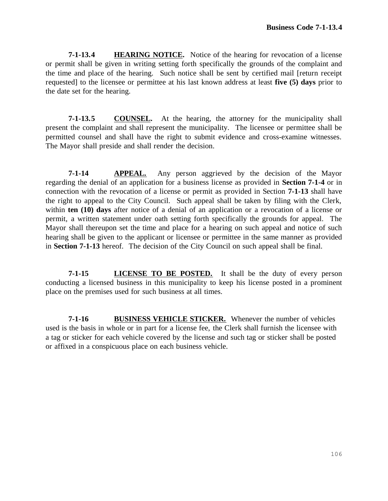**7-1-13.4 HEARING NOTICE.** Notice of the hearing for revocation of a license or permit shall be given in writing setting forth specifically the grounds of the complaint and the time and place of the hearing. Such notice shall be sent by certified mail [return receipt requested] to the licensee or permittee at his last known address at least **five (5) days** prior to the date set for the hearing.

**7-1-13.5 COUNSEL.** At the hearing, the attorney for the municipality shall present the complaint and shall represent the municipality. The licensee or permittee shall be permitted counsel and shall have the right to submit evidence and cross-examine witnesses. The Mayor shall preside and shall render the decision.

**7-1-14 APPEAL.** Any person aggrieved by the decision of the Mayor regarding the denial of an application for a business license as provided in **Section 7-1-4** or in connection with the revocation of a license or permit as provided in Section **7-1-13** shall have the right to appeal to the City Council. Such appeal shall be taken by filing with the Clerk, within **ten (10) days** after notice of a denial of an application or a revocation of a license or permit, a written statement under oath setting forth specifically the grounds for appeal. The Mayor shall thereupon set the time and place for a hearing on such appeal and notice of such hearing shall be given to the applicant or licensee or permittee in the same manner as provided in **Section 7-1-13** hereof. The decision of the City Council on such appeal shall be final.

**7-1-15 LICENSE TO BE POSTED.** It shall be the duty of every person conducting a licensed business in this municipality to keep his license posted in a prominent place on the premises used for such business at all times.

**7-1-16 BUSINESS VEHICLE STICKER.** Whenever the number of vehicles used is the basis in whole or in part for a license fee, the Clerk shall furnish the licensee with a tag or sticker for each vehicle covered by the license and such tag or sticker shall be posted or affixed in a conspicuous place on each business vehicle.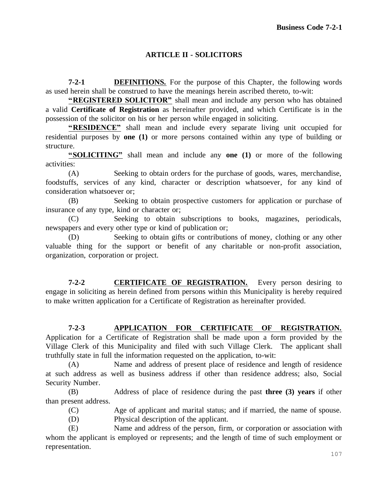## **ARTICLE II - SOLICITORS**

**7-2-1 DEFINITIONS.** For the purpose of this Chapter, the following words as used herein shall be construed to have the meanings herein ascribed thereto, to-wit:

**"REGISTERED SOLICITOR"** shall mean and include any person who has obtained a valid **Certificate of Registration** as hereinafter provided, and which Certificate is in the possession of the solicitor on his or her person while engaged in soliciting.

**"RESIDENCE"** shall mean and include every separate living unit occupied for residential purposes by **one (1)** or more persons contained within any type of building or structure.

**"SOLICITING"** shall mean and include any **one (1)** or more of the following activities:

(A) Seeking to obtain orders for the purchase of goods, wares, merchandise, foodstuffs, services of any kind, character or description whatsoever, for any kind of consideration whatsoever or;

(B) Seeking to obtain prospective customers for application or purchase of insurance of any type, kind or character or;

(C) Seeking to obtain subscriptions to books, magazines, periodicals, newspapers and every other type or kind of publication or;

(D) Seeking to obtain gifts or contributions of money, clothing or any other valuable thing for the support or benefit of any charitable or non-profit association, organization, corporation or project.

**7-2-2 CERTIFICATE OF REGISTRATION.** Every person desiring to engage in soliciting as herein defined from persons within this Municipality is hereby required to make written application for a Certificate of Registration as hereinafter provided.

## **7-2-3 APPLICATION FOR CERTIFICATE OF REGISTRATION.**

Application for a Certificate of Registration shall be made upon a form provided by the Village Clerk of this Municipality and filed with such Village Clerk. The applicant shall truthfully state in full the information requested on the application, to-wit:

(A) Name and address of present place of residence and length of residence at such address as well as business address if other than residence address; also, Social Security Number.

(B) Address of place of residence during the past **three (3) years** if other than present address.

(C) Age of applicant and marital status; and if married, the name of spouse.

(D) Physical description of the applicant.

(E) Name and address of the person, firm, or corporation or association with whom the applicant is employed or represents; and the length of time of such employment or representation.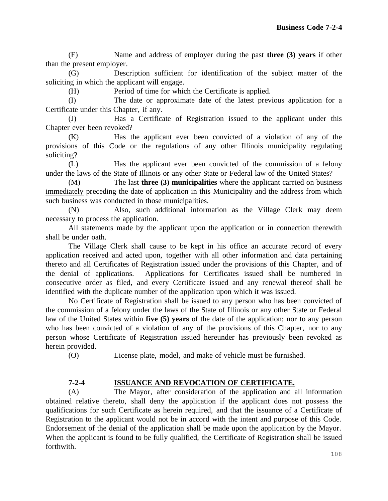(F) Name and address of employer during the past **three (3) years** if other than the present employer.

(G) Description sufficient for identification of the subject matter of the soliciting in which the applicant will engage.

(H) Period of time for which the Certificate is applied.

(I) The date or approximate date of the latest previous application for a Certificate under this Chapter, if any.

(J) Has a Certificate of Registration issued to the applicant under this Chapter ever been revoked?

(K) Has the applicant ever been convicted of a violation of any of the provisions of this Code or the regulations of any other Illinois municipality regulating soliciting?

(L) Has the applicant ever been convicted of the commission of a felony under the laws of the State of Illinois or any other State or Federal law of the United States?

(M) The last **three (3) municipalities** where the applicant carried on business immediately preceding the date of application in this Municipality and the address from which such business was conducted in those municipalities.

(N) Also, such additional information as the Village Clerk may deem necessary to process the application.

All statements made by the applicant upon the application or in connection therewith shall be under oath.

The Village Clerk shall cause to be kept in his office an accurate record of every application received and acted upon, together with all other information and data pertaining thereto and all Certificates of Registration issued under the provisions of this Chapter, and of the denial of applications. Applications for Certificates issued shall be numbered in consecutive order as filed, and every Certificate issued and any renewal thereof shall be identified with the duplicate number of the application upon which it was issued.

No Certificate of Registration shall be issued to any person who has been convicted of the commission of a felony under the laws of the State of Illinois or any other State or Federal law of the United States within **five (5) years** of the date of the application; nor to any person who has been convicted of a violation of any of the provisions of this Chapter, nor to any person whose Certificate of Registration issued hereunder has previously been revoked as herein provided.

(O) License plate, model, and make of vehicle must be furnished.

## **7-2-4 ISSUANCE AND REVOCATION OF CERTIFICATE.**

(A) The Mayor, after consideration of the application and all information obtained relative thereto, shall deny the application if the applicant does not possess the qualifications for such Certificate as herein required, and that the issuance of a Certificate of Registration to the applicant would not be in accord with the intent and purpose of this Code. Endorsement of the denial of the application shall be made upon the application by the Mayor. When the applicant is found to be fully qualified, the Certificate of Registration shall be issued forthwith.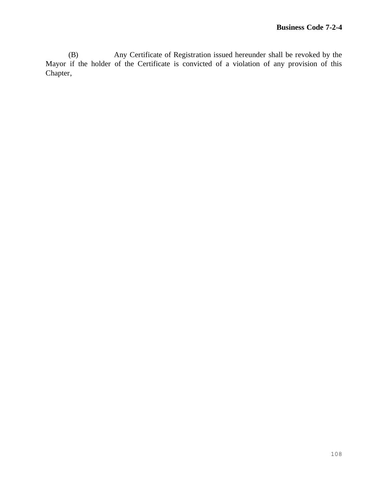(B) Any Certificate of Registration issued hereunder shall be revoked by the Mayor if the holder of the Certificate is convicted of a violation of any provision of this Chapter,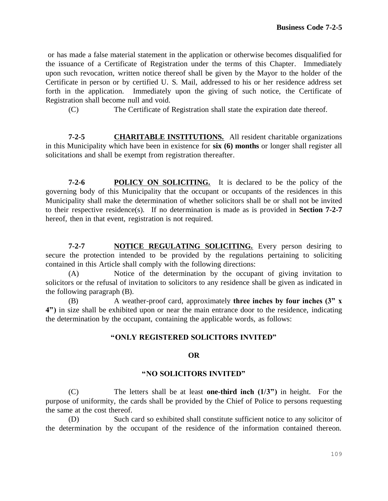or has made a false material statement in the application or otherwise becomes disqualified for the issuance of a Certificate of Registration under the terms of this Chapter. Immediately upon such revocation, written notice thereof shall be given by the Mayor to the holder of the Certificate in person or by certified U. S. Mail, addressed to his or her residence address set forth in the application. Immediately upon the giving of such notice, the Certificate of Registration shall become null and void.

(C) The Certificate of Registration shall state the expiration date thereof.

**7-2-5 CHARITABLE INSTITUTIONS.** All resident charitable organizations in this Municipality which have been in existence for **six (6) months** or longer shall register all solicitations and shall be exempt from registration thereafter.

**7-2-6 POLICY ON SOLICITING.** It is declared to be the policy of the governing body of this Municipality that the occupant or occupants of the residences in this Municipality shall make the determination of whether solicitors shall be or shall not be invited to their respective residence(s). If no determination is made as is provided in **Section 7-2-7** hereof, then in that event, registration is not required.

**7-2-7 NOTICE REGULATING SOLICITING.** Every person desiring to secure the protection intended to be provided by the regulations pertaining to soliciting contained in this Article shall comply with the following directions:

(A) Notice of the determination by the occupant of giving invitation to solicitors or the refusal of invitation to solicitors to any residence shall be given as indicated in the following paragraph (B).

(B) A weather-proof card, approximately **three inches by four inches (3" x 4")** in size shall be exhibited upon or near the main entrance door to the residence, indicating the determination by the occupant, containing the applicable words, as follows:

#### **"ONLY REGISTERED SOLICITORS INVITED"**

#### **OR**

#### **"NO SOLICITORS INVITED"**

(C) The letters shall be at least **one-third inch (1/3")** in height. For the purpose of uniformity, the cards shall be provided by the Chief of Police to persons requesting the same at the cost thereof.

(D) Such card so exhibited shall constitute sufficient notice to any solicitor of the determination by the occupant of the residence of the information contained thereon.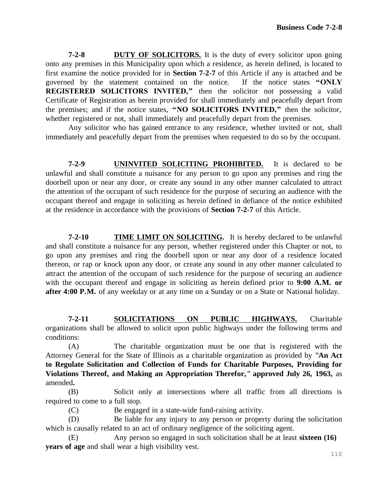**7-2-8 DUTY OF SOLICITORS.** It is the duty of every solicitor upon going onto any premises in this Municipality upon which a residence, as herein defined, is located to first examine the notice provided for in **Section 7-2-7** of this Article if any is attached and be governed by the statement contained on the notice. If the notice states **"ONLY REGISTERED SOLICITORS INVITED,"** then the solicitor not possessing a valid Certificate of Registration as herein provided for shall immediately and peacefully depart from the premises; and if the notice states, **"NO SOLICITORS INVITED,"** then the solicitor, whether registered or not, shall immediately and peacefully depart from the premises.

Any solicitor who has gained entrance to any residence, whether invited or not, shall immediately and peacefully depart from the premises when requested to do so by the occupant.

**7-2-9 UNINVITED SOLICITING PROHIBITED.** It is declared to be unlawful and shall constitute a nuisance for any person to go upon any premises and ring the doorbell upon or near any door, or create any sound in any other manner calculated to attract the attention of the occupant of such residence for the purpose of securing an audience with the occupant thereof and engage in soliciting as herein defined in defiance of the notice exhibited at the residence in accordance with the provisions of **Section 7-2-7** of this Article.

**7-2-10 TIME LIMIT ON SOLICITING.** It is hereby declared to be unlawful and shall constitute a nuisance for any person, whether registered under this Chapter or not, to go upon any premises and ring the doorbell upon or near any door of a residence located thereon, or rap or knock upon any door, or create any sound in any other manner calculated to attract the attention of the occupant of such residence for the purpose of securing an audience with the occupant thereof and engage in soliciting as herein defined prior to **9:00 A.M. or after 4:00 P.M.** of any weekday or at any time on a Sunday or on a State or National holiday.

**7-2-11 SOLICITATIONS ON PUBLIC HIGHWAYS.** Charitable organizations shall be allowed to solicit upon public highways under the following terms and conditions:

(A) The charitable organization must be one that is registered with the Attorney General for the State of Illinois as a charitable organization as provided by **"An Act to Regulate Solicitation and Collection of Funds for Charitable Purposes, Providing for Violations Thereof, and Making an Appropriation Therefor," approved July 26, 1963,** as amended**.**

(B) Solicit only at intersections where all traffic from all directions is required to come to a full stop.

(C) Be engaged in a state-wide fund-raising activity.

(D) Be liable for any injury to any person or property during the solicitation which is causally related to an act of ordinary negligence of the soliciting agent.

(E) Any person so engaged in such solicitation shall be at least **sixteen (16) years of age** and shall wear a high visibility vest.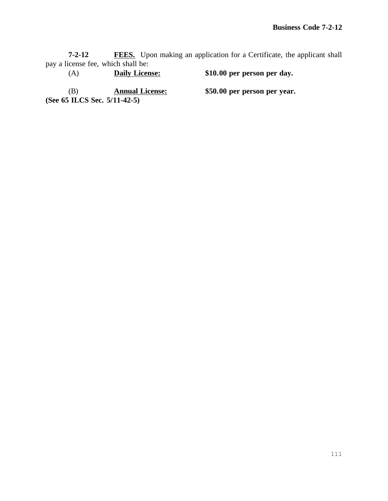**7-2-12 FEES.** Upon making an application for a Certificate, the applicant shall pay a license fee, which shall be:

(A) **Daily License: \$10.00 per person per day.** (B) **Annual License: \$50.00 per person per year. (See 65 ILCS Sec. 5/11-42-5)**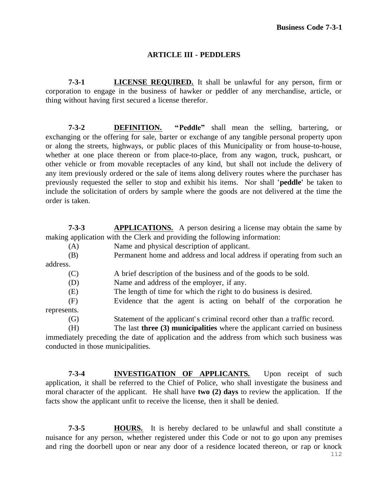#### **ARTICLE III - PEDDLERS**

**7-3-1 LICENSE REQUIRED.** It shall be unlawful for any person, firm or corporation to engage in the business of hawker or peddler of any merchandise, article, or thing without having first secured a license therefor.

**7-3-2 DEFINITION. "Peddle"** shall mean the selling, bartering, or exchanging or the offering for sale, barter or exchange of any tangible personal property upon or along the streets, highways, or public places of this Municipality or from house-to-house, whether at one place thereon or from place-to-place, from any wagon, truck, pushcart, or other vehicle or from movable receptacles of any kind, but shall not include the delivery of any item previously ordered or the sale of items along delivery routes where the purchaser has previously requested the seller to stop and exhibit his items. Nor shall **'peddle'** be taken to include the solicitation of orders by sample where the goods are not delivered at the time the order is taken.

**7-3-3 APPLICATIONS.** A person desiring a license may obtain the same by making application with the Clerk and providing the following information:

(A) Name and physical description of applicant. (B) Permanent home and address and local address if operating from such an address. (C) A brief description of the business and of the goods to be sold. (D) Name and address of the employer, if any. (E) The length of time for which the right to do business is desired. (F) Evidence that the agent is acting on behalf of the corporation he represents. (G) Statement of the applicant' s criminal record other than a traffic record.

(H) The last **three (3) municipalities** where the applicant carried on business immediately preceding the date of application and the address from which such business was conducted in those municipalities.

**7-3-4 INVESTIGATION OF APPLICANTS.** Upon receipt of such application, it shall be referred to the Chief of Police, who shall investigate the business and moral character of the applicant. He shall have **two (2) days** to review the application. If the facts show the applicant unfit to receive the license, then it shall be denied.

**7-3-5 HOURS.** It is hereby declared to be unlawful and shall constitute a nuisance for any person, whether registered under this Code or not to go upon any premises and ring the doorbell upon or near any door of a residence located thereon, or rap or knock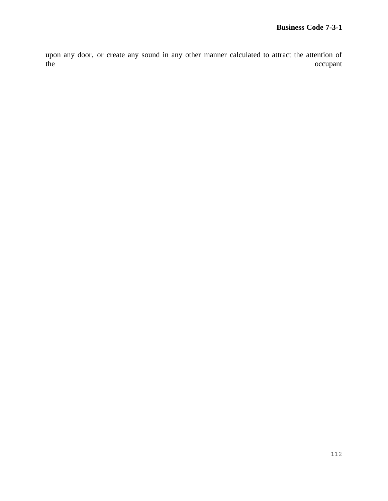upon any door, or create any sound in any other manner calculated to attract the attention of the occupant occupant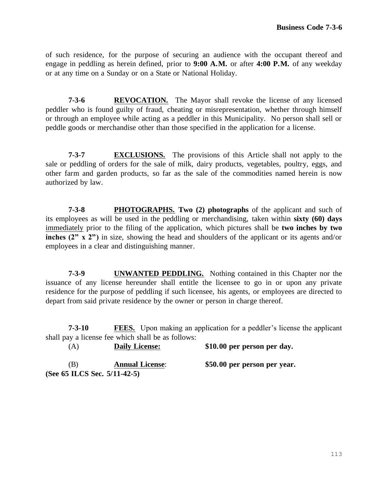of such residence, for the purpose of securing an audience with the occupant thereof and engage in peddling as herein defined, prior to **9:00 A.M.** or after **4:00 P.M.** of any weekday or at any time on a Sunday or on a State or National Holiday.

**7-3-6 REVOCATION.** The Mayor shall revoke the license of any licensed peddler who is found guilty of fraud, cheating or misrepresentation, whether through himself or through an employee while acting as a peddler in this Municipality. No person shall sell or peddle goods or merchandise other than those specified in the application for a license.

**7-3-7 EXCLUSIONS.** The provisions of this Article shall not apply to the sale or peddling of orders for the sale of milk, dairy products, vegetables, poultry, eggs, and other farm and garden products, so far as the sale of the commodities named herein is now authorized by law.

**7-3-8 PHOTOGRAPHS. Two (2) photographs** of the applicant and such of its employees as will be used in the peddling or merchandising, taken within **sixty (60) days**  immediately prior to the filing of the application, which pictures shall be **two inches by two inches (2" x 2")** in size, showing the head and shoulders of the applicant or its agents and/or employees in a clear and distinguishing manner.

**7-3-9 UNWANTED PEDDLING.** Nothing contained in this Chapter nor the issuance of any license hereunder shall entitle the licensee to go in or upon any private residence for the purpose of peddling if such licensee, his agents, or employees are directed to depart from said private residence by the owner or person in charge thereof.

**7-3-10 FEES.** Upon making an application for a peddler's license the applicant shall pay a license fee which shall be as follows:

(A) **Daily License: \$10.00 per person per day.**

(B) **Annual License**: **\$50.00 per person per year. (See 65 ILCS Sec. 5/11-42-5)**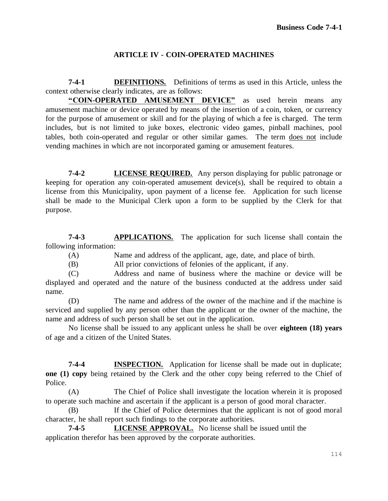## **ARTICLE IV - COIN-OPERATED MACHINES**

**7-4-1 DEFINITIONS.** Definitions of terms as used in this Article, unless the context otherwise clearly indicates, are as follows:

**"COIN-OPERATED AMUSEMENT DEVICE"** as used herein means any amusement machine or device operated by means of the insertion of a coin, token, or currency for the purpose of amusement or skill and for the playing of which a fee is charged. The term includes, but is not limited to juke boxes, electronic video games, pinball machines, pool tables, both coin-operated and regular or other similar games. The term does not include vending machines in which are not incorporated gaming or amusement features.

**7-4-2 LICENSE REQUIRED.** Any person displaying for public patronage or keeping for operation any coin-operated amusement device(s), shall be required to obtain a license from this Municipality, upon payment of a license fee. Application for such license shall be made to the Municipal Clerk upon a form to be supplied by the Clerk for that purpose.

**7-4-3 APPLICATIONS.** The application for such license shall contain the following information:

(A) Name and address of the applicant, age, date, and place of birth.

(B) All prior convictions of felonies of the applicant, if any.

(C) Address and name of business where the machine or device will be displayed and operated and the nature of the business conducted at the address under said name.

(D) The name and address of the owner of the machine and if the machine is serviced and supplied by any person other than the applicant or the owner of the machine, the name and address of such person shall be set out in the application.

No license shall be issued to any applicant unless he shall be over **eighteen (18) years**  of age and a citizen of the United States.

**7-4-4 INSPECTION.** Application for license shall be made out in duplicate; **one (1) copy** being retained by the Clerk and the other copy being referred to the Chief of Police.

(A) The Chief of Police shall investigate the location wherein it is proposed to operate such machine and ascertain if the applicant is a person of good moral character.

(B) If the Chief of Police determines that the applicant is not of good moral character, he shall report such findings to the corporate authorities.

**7-4-5 LICENSE APPROVAL.** No license shall be issued until the application therefor has been approved by the corporate authorities.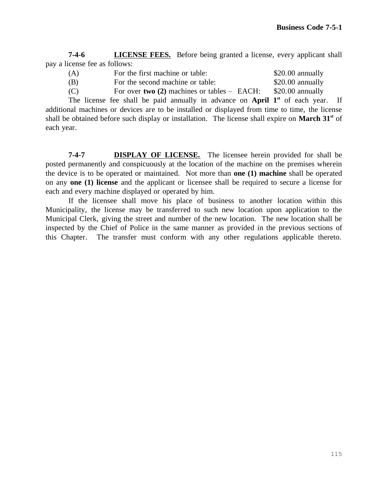**7-4-6 LICENSE FEES.** Before being granted a license, every applicant shall pay a license fee as follows:

(A) For the first machine or table: \$20.00 annually

(B) For the second machine or table: \$20.00 annually

each year.

(C) For over **two (2)** machines or tables – EACH: \$20.00 annually The license fee shall be paid annually in advance on **April 1st** of each year. If additional machines or devices are to be installed or displayed from time to time, the license shall be obtained before such display or installation. The license shall expire on **March 31st** of

**7-4-7 DISPLAY OF LICENSE.** The licensee herein provided for shall be posted permanently and conspicuously at the location of the machine on the premises wherein the device is to be operated or maintained. Not more than **one (1) machine** shall be operated on any **one (1) license** and the applicant or licensee shall be required to secure a license for each and every machine displayed or operated by him.

If the licensee shall move his place of business to another location within this Municipality, the license may be transferred to such new location upon application to the Municipal Clerk, giving the street and number of the new location. The new location shall be inspected by the Chief of Police in the same manner as provided in the previous sections of this Chapter. The transfer must conform with any other regulations applicable thereto.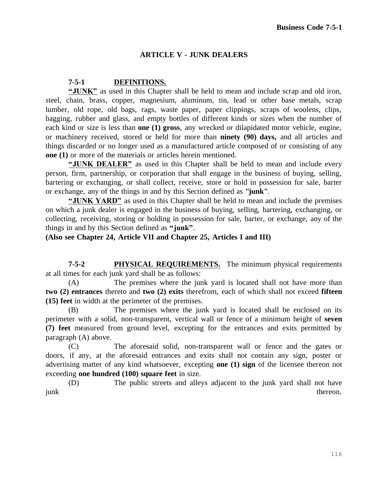### **ARTICLE V - JUNK DEALERS**

### **7-5-1 DEFINITIONS.**

**"JUNK"** as used in this Chapter shall be held to mean and include scrap and old iron, steel, chain, brass, copper, magnesium, aluminum, tin, lead or other base metals, scrap lumber, old rope, old bags, rags, waste paper, paper clippings, scraps of woolens, clips, bagging, rubber and glass, and empty bottles of different kinds or sizes when the number of each kind or size is less than **one (1) gross**, any wrecked or dilapidated motor vehicle, engine, or machinery received, stored or held for more than **ninety (90) days,** and all articles and things discarded or no longer used as a manufactured article composed of or consisting of any **one (1)** or more of the materials or articles herein mentioned.

**"JUNK DEALER"** as used in this Chapter shall be held to mean and include every person, firm, partnership, or corporation that shall engage in the business of buying, selling, bartering or exchanging, or shall collect, receive, store or hold in possession for sale, barter or exchange, any of the things in and by this Section defined as **"junk"**.

**"JUNK YARD"** as used in this Chapter shall be held to mean and include the premises on which a junk dealer is engaged in the business of buying, selling, bartering, exchanging, or collecting, receiving, storing or holding in possession for sale, barter, or exchange, any of the things in and by this Section defined as **"junk"**.

**(Also see Chapter 24, Article VII and Chapter 25, Articles I and III)**

**7-5-2 PHYSICAL REQUIREMENTS.** The minimum physical requirements at all times for each junk yard shall be as follows:

(A) The premises where the junk yard is located shall not have more than **two (2) entrances** thereto and **two (2) exits** therefrom, each of which shall not exceed **fifteen (15) feet** in width at the perimeter of the premises.

(B) The premises where the junk yard is located shall be enclosed on its perimeter with a solid, non-transparent, vertical wall or fence of a minimum height of **seven (7) feet** measured from ground level, excepting for the entrances and exits permitted by paragraph (A) above.

(C) The aforesaid solid, non-transparent wall or fence and the gates or doors, if any, at the aforesaid entrances and exits shall not contain any sign, poster or advertising matter of any kind whatsoever, excepting **one (1) sign** of the licensee thereon not exceeding **one hundred (100) square feet** in size.

(D) The public streets and alleys adjacent to the junk yard shall not have junk thereon.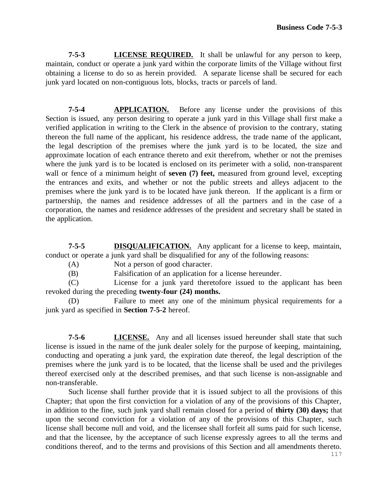**7-5-3 LICENSE REQUIRED.** It shall be unlawful for any person to keep, maintain, conduct or operate a junk yard within the corporate limits of the Village without first obtaining a license to do so as herein provided. A separate license shall be secured for each junk yard located on non-contiguous lots, blocks, tracts or parcels of land.

**7-5-4 APPLICATION.** Before any license under the provisions of this Section is issued, any person desiring to operate a junk yard in this Village shall first make a verified application in writing to the Clerk in the absence of provision to the contrary, stating thereon the full name of the applicant, his residence address, the trade name of the applicant, the legal description of the premises where the junk yard is to be located, the size and approximate location of each entrance thereto and exit therefrom, whether or not the premises where the junk yard is to be located is enclosed on its perimeter with a solid, non-transparent wall or fence of a minimum height of **seven** (7) feet, measured from ground level, excepting the entrances and exits, and whether or not the public streets and alleys adjacent to the premises where the junk yard is to be located have junk thereon. If the applicant is a firm or partnership, the names and residence addresses of all the partners and in the case of a corporation, the names and residence addresses of the president and secretary shall be stated in the application.

**7-5-5 DISQUALIFICATION.** Any applicant for a license to keep, maintain, conduct or operate a junk yard shall be disqualified for any of the following reasons:

(A) Not a person of good character.

(B) Falsification of an application for a license hereunder.

(C) License for a junk yard theretofore issued to the applicant has been revoked during the preceding **twenty-four (24) months.**

(D) Failure to meet any one of the minimum physical requirements for a junk yard as specified in **Section 7-5-2** hereof.

**7-5-6 LICENSE.** Any and all licenses issued hereunder shall state that such license is issued in the name of the junk dealer solely for the purpose of keeping, maintaining, conducting and operating a junk yard, the expiration date thereof, the legal description of the premises where the junk yard is to be located, that the license shall be used and the privileges thereof exercised only at the described premises, and that such license is non-assignable and non-transferable.

Such license shall further provide that it is issued subject to all the provisions of this Chapter; that upon the first conviction for a violation of any of the provisions of this Chapter, in addition to the fine, such junk yard shall remain closed for a period of **thirty (30) days;** that upon the second conviction for a violation of any of the provisions of this Chapter, such license shall become null and void, and the licensee shall forfeit all sums paid for such license, and that the licensee, by the acceptance of such license expressly agrees to all the terms and conditions thereof, and to the terms and provisions of this Section and all amendments thereto.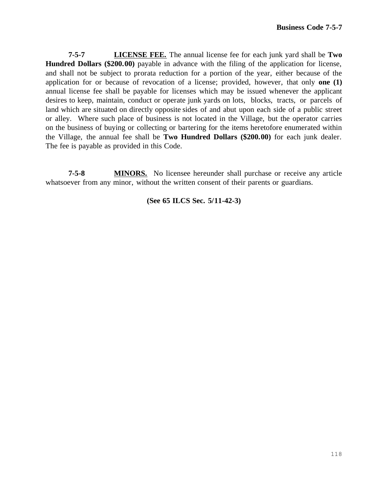**7-5-7 LICENSE FEE.** The annual license fee for each junk yard shall be **Two Hundred Dollars (\$200.00)** payable in advance with the filing of the application for license, and shall not be subject to prorata reduction for a portion of the year, either because of the application for or because of revocation of a license; provided, however, that only **one (1)** annual license fee shall be payable for licenses which may be issued whenever the applicant desires to keep, maintain, conduct or operate junk yards on lots, blocks, tracts, or parcels of land which are situated on directly opposite sides of and abut upon each side of a public street or alley. Where such place of business is not located in the Village, but the operator carries on the business of buying or collecting or bartering for the items heretofore enumerated within the Village, the annual fee shall be **Two Hundred Dollars (\$200.00)** for each junk dealer. The fee is payable as provided in this Code.

**7-5-8 MINORS.** No licensee hereunder shall purchase or receive any article whatsoever from any minor, without the written consent of their parents or guardians.

**(See 65 ILCS Sec. 5/11-42-3)**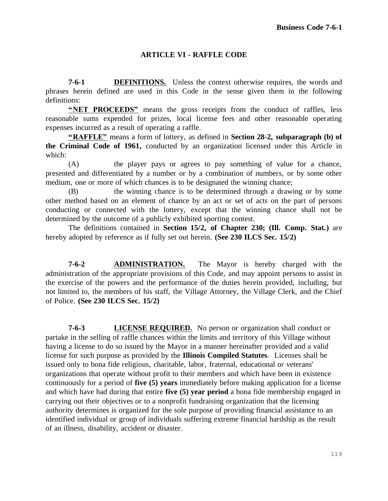## **ARTICLE VI - RAFFLE CODE**

**7-6-1 DEFINITIONS.** Unless the context otherwise requires, the words and phrases herein defined are used in this Code in the sense given them in the following definitions:

**"NET PROCEEDS"** means the gross receipts from the conduct of raffles, less reasonable sums expended for prizes, local license fees and other reasonable operating expenses incurred as a result of operating a raffle.

**"RAFFLE"** means a form of lottery, as defined in **Section 28-2, subparagraph (b) of the Criminal Code of 1961,** conducted by an organization licensed under this Article in which:

(A) the player pays or agrees to pay something of value for a chance, presented and differentiated by a number or by a combination of numbers, or by some other medium, one or more of which chances is to be designated the winning chance;

(B) the winning chance is to be determined through a drawing or by some other method based on an element of chance by an act or set of acts on the part of persons conducting or connected with the lottery, except that the winning chance shall not be determined by the outcome of a publicly exhibited sporting contest.

The definitions contained in **Section 15/2, of Chapter 230; (Ill. Comp. Stat.)** are hereby adopted by reference as if fully set out herein. **(See 230 ILCS Sec. 15/2)**

**7-6-2 ADMINISTRATION.** The Mayor is hereby charged with the administration of the appropriate provisions of this Code, and may appoint persons to assist in the exercise of the powers and the performance of the duties herein provided, including, but not limited to, the members of his staff, the Village Attorney, the Village Clerk, and the Chief of Police. **(See 230 ILCS Sec. 15/2)**

**7-6-3 LICENSE REQUIRED.** No person or organization shall conduct or partake in the selling of raffle chances within the limits and territory of this Village without having a license to do so issued by the Mayor in a manner hereinafter provided and a valid license for such purpose as provided by the **Illinois Compiled Statutes**. Licenses shall be issued only to bona fide religious, charitable, labor, fraternal, educational or veterans' organizations that operate without profit to their members and which have been in existence continuously for a period of **five (5) years** immediately before making application for a license and which have had during that entire **five (5) year period** a bona fide membership engaged in carrying out their objectives or to a nonprofit fundraising organization that the licensing authority determines is organized for the sole purpose of providing financial assistance to an identified individual or group of individuals suffering extreme financial hardship as the result of an illness, disability, accident or disaster.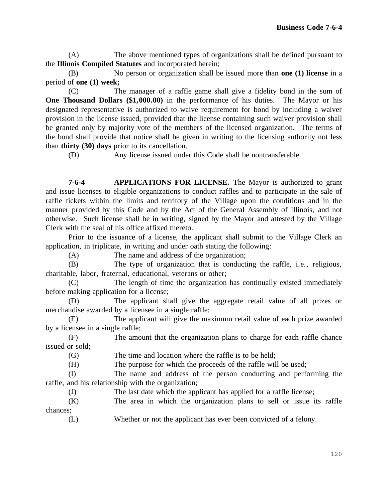(A) The above mentioned types of organizations shall be defined pursuant to the **Illinois Compiled Statutes** and incorporated herein;

(B) No person or organization shall be issued more than **one (1) license** in a period of **one (1) week;**

(C) The manager of a raffle game shall give a fidelity bond in the sum of **One Thousand Dollars (\$1,000.00)** in the performance of his duties. The Mayor or his designated representative is authorized to waive requirement for bond by including a waiver provision in the license issued, provided that the license containing such waiver provision shall be granted only by majority vote of the members of the licensed organization. The terms of the bond shall provide that notice shall be given in writing to the licensing authority not less than **thirty (30) days** prior to its cancellation.

(D) Any license issued under this Code shall be nontransferable.

**7-6-4 APPLICATIONS FOR LICENSE.** The Mayor is authorized to grant and issue licenses to eligible organizations to conduct raffles and to participate in the sale of raffle tickets within the limits and territory of the Village upon the conditions and in the manner provided by this Code and by the Act of the General Assembly of Illinois, and not otherwise. Such license shall be in writing, signed by the Mayor and attested by the Village Clerk with the seal of his office affixed thereto.

Prior to the issuance of a license, the applicant shall submit to the Village Clerk an application, in triplicate, in writing and under oath stating the following:

(A) The name and address of the organization;

(B) The type of organization that is conducting the raffle, i.e., religious, charitable, labor, fraternal, educational, veterans or other;

(C) The length of time the organization has continually existed immediately before making application for a license;

(D) The applicant shall give the aggregate retail value of all prizes or merchandise awarded by a licensee in a single raffle;

(E) The applicant will give the maximum retail value of each prize awarded by a licensee in a single raffle;

(F) The amount that the organization plans to charge for each raffle chance issued or sold;

(G) The time and location where the raffle is to be held;

(H) The purpose for which the proceeds of the raffle will be used;

(I) The name and address of the person conducting and performing the raffle, and his relationship with the organization;

(J) The last date which the applicant has applied for a raffle license;

(K) The area in which the organization plans to sell or issue its raffle chances;

(L) Whether or not the applicant has ever been convicted of a felony.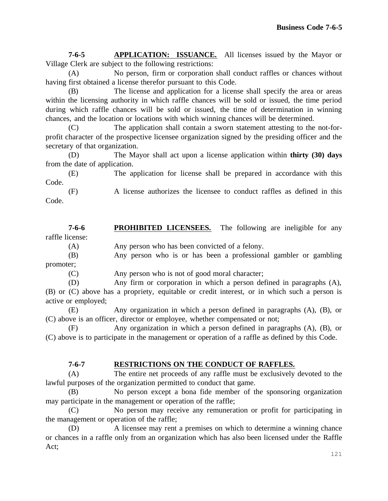**7-6-5 APPLICATION: ISSUANCE.** All licenses issued by the Mayor or Village Clerk are subject to the following restrictions:

(A) No person, firm or corporation shall conduct raffles or chances without having first obtained a license therefor pursuant to this Code.

(B) The license and application for a license shall specify the area or areas within the licensing authority in which raffle chances will be sold or issued, the time period during which raffle chances will be sold or issued, the time of determination in winning chances, and the location or locations with which winning chances will be determined.

(C) The application shall contain a sworn statement attesting to the not-forprofit character of the prospective licensee organization signed by the presiding officer and the secretary of that organization.

(D) The Mayor shall act upon a license application within **thirty (30) days**  from the date of application.

(E) The application for license shall be prepared in accordance with this Code.

(F) A license authorizes the licensee to conduct raffles as defined in this Code.

**7-6-6 PROHIBITED LICENSEES.** The following are ineligible for any raffle license:

(A) Any person who has been convicted of a felony.

(B) Any person who is or has been a professional gambler or gambling promoter;

(C) Any person who is not of good moral character;

(D) Any firm or corporation in which a person defined in paragraphs (A), (B) or (C) above has a propriety, equitable or credit interest, or in which such a person is active or employed;

(E) Any organization in which a person defined in paragraphs (A), (B), or (C) above is an officer, director or employee, whether compensated or not;

(F) Any organization in which a person defined in paragraphs (A), (B), or (C) above is to participate in the management or operation of a raffle as defined by this Code.

## **7-6-7 RESTRICTIONS ON THE CONDUCT OF RAFFLES.**

(A) The entire net proceeds of any raffle must be exclusively devoted to the lawful purposes of the organization permitted to conduct that game.

(B) No person except a bona fide member of the sponsoring organization may participate in the management or operation of the raffle;

(C) No person may receive any remuneration or profit for participating in the management or operation of the raffle;

(D) A licensee may rent a premises on which to determine a winning chance or chances in a raffle only from an organization which has also been licensed under the Raffle Act;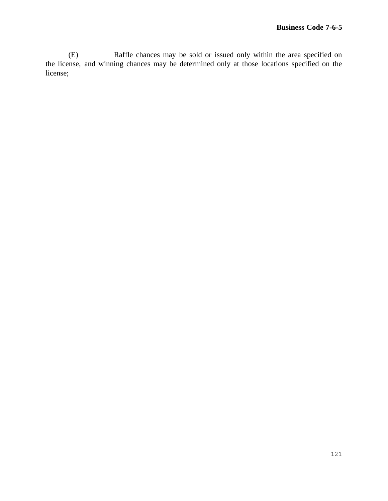(E) Raffle chances may be sold or issued only within the area specified on the license, and winning chances may be determined only at those locations specified on the license;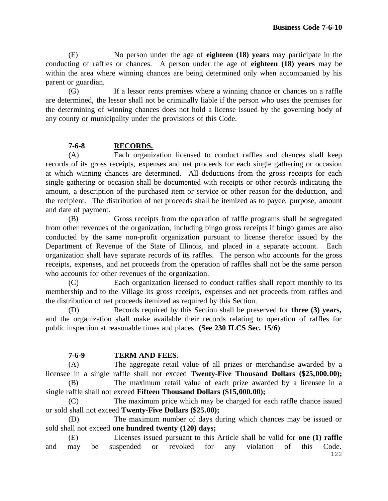(F) No person under the age of **eighteen (18) years** may participate in the conducting of raffles or chances. A person under the age of **eighteen (18) years** may be within the area where winning chances are being determined only when accompanied by his parent or guardian.

(G) If a lessor rents premises where a winning chance or chances on a raffle are determined, the lessor shall not be criminally liable if the person who uses the premises for the determining of winning chances does not hold a license issued by the governing body of any county or municipality under the provisions of this Code.

## **7-6-8 RECORDS.**

(A) Each organization licensed to conduct raffles and chances shall keep records of its gross receipts, expenses and net proceeds for each single gathering or occasion at which winning chances are determined. All deductions from the gross receipts for each single gathering or occasion shall be documented with receipts or other records indicating the amount, a description of the purchased item or service or other reason for the deduction, and the recipient. The distribution of net proceeds shall be itemized as to payee, purpose, amount and date of payment.

(B) Gross receipts from the operation of raffle programs shall be segregated from other revenues of the organization, including bingo gross receipts if bingo games are also conducted by the same non-profit organization pursuant to license therefor issued by the Department of Revenue of the State of Illinois, and placed in a separate account. Each organization shall have separate records of its raffles. The person who accounts for the gross receipts, expenses, and net proceeds from the operation of raffles shall not be the same person who accounts for other revenues of the organization.

(C) Each organization licensed to conduct raffles shall report monthly to its membership and to the Village its gross receipts, expenses and net proceeds from raffles and the distribution of net proceeds itemized as required by this Section.

(D) Records required by this Section shall be preserved for **three (3) years,**  and the organization shall make available their records relating to operation of raffles for public inspection at reasonable times and places. **(See 230 ILCS Sec. 15/6)**

## **7-6-9 TERM AND FEES.**

(A) The aggregate retail value of all prizes or merchandise awarded by a licensee in a single raffle shall not exceed **Twenty-Five Thousand Dollars (\$25,000.00);**

(B) The maximum retail value of each prize awarded by a licensee in a single raffle shall not exceed **Fifteen Thousand Dollars (\$15,000.00);**

(C) The maximum price which may be charged for each raffle chance issued or sold shall not exceed **Twenty-Five Dollars (\$25.00);**

(D) The maximum number of days during which chances may be issued or sold shall not exceed **one hundred twenty (120) days;**

(E) Licenses issued pursuant to this Article shall be valid for **one (1) raffle**  and may be suspended or revoked for any violation of this Code.

122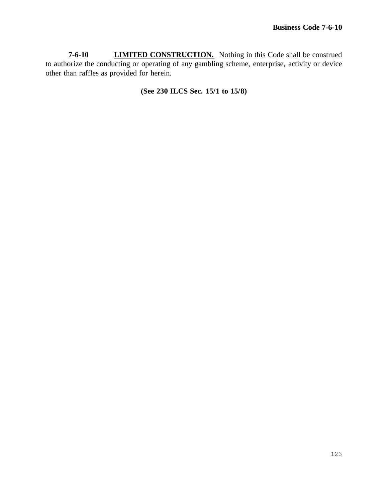**7-6-10 LIMITED CONSTRUCTION.** Nothing in this Code shall be construed to authorize the conducting or operating of any gambling scheme, enterprise, activity or device other than raffles as provided for herein.

**(See 230 ILCS Sec. 15/1 to 15/8)**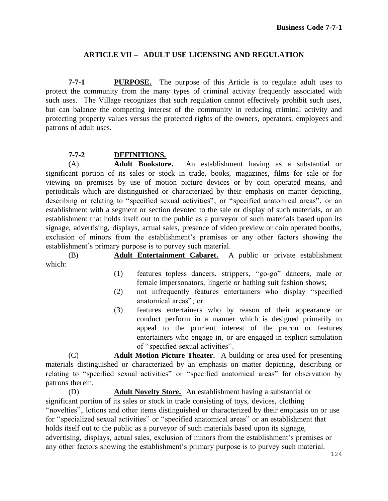### **ARTICLE VII – ADULT USE LICENSING AND REGULATION**

**7-7-1 PURPOSE.** The purpose of this Article is to regulate adult uses to protect the community from the many types of criminal activity frequently associated with such uses. The Village recognizes that such regulation cannot effectively prohibit such uses, but can balance the competing interest of the community in reducing criminal activity and protecting property values versus the protected rights of the owners, operators, employees and patrons of adult uses.

#### **7-7-2 DEFINITIONS.**

(A) **Adult Bookstore.** An establishment having as a substantial or significant portion of its sales or stock in trade, books, magazines, films for sale or for viewing on premises by use of motion picture devices or by coin operated means, and periodicals which are distinguished or characterized by their emphasis on matter depicting, describing or relating to "specified sexual activities", or "specified anatomical areas", or an establishment with a segment or section devoted to the sale or display of such materials, or an establishment that holds itself out to the public as a purveyor of such materials based upon its signage, advertising, displays, actual sales, presence of video preview or coin operated booths, exclusion of minors from the establishment's premises or any other factors showing the establishment's primary purpose is to purvey such material.

(B) **Adult Entertainment Cabaret.** A public or private establishment which:

- (1) features topless dancers, strippers, "go-go" dancers, male or female impersonators, lingerie or bathing suit fashion shows;
- (2) not infrequently features entertainers who display "specified anatomical areas"; or
- (3) features entertainers who by reason of their appearance or conduct perform in a manner which is designed primarily to appeal to the prurient interest of the patron or features entertainers who engage in, or are engaged in explicit simulation of "specified sexual activities".

(C) **Adult Motion Picture Theater.** A building or area used for presenting materials distinguished or characterized by an emphasis on matter depicting, describing or relating to "specified sexual activities" or "specified anatomical areas" for observation by patrons therein.

(D) **Adult Novelty Store.** An establishment having a substantial or significant portion of its sales or stock in trade consisting of toys, devices, clothing "novelties", lotions and other items distinguished or characterized by their emphasis on or use for "specialized sexual activities" or "specified anatomical areas" or an establishment that holds itself out to the public as a purveyor of such materials based upon its signage, advertising, displays, actual sales, exclusion of minors from the establishment's premises or any other factors showing the establishment's primary purpose is to purvey such material.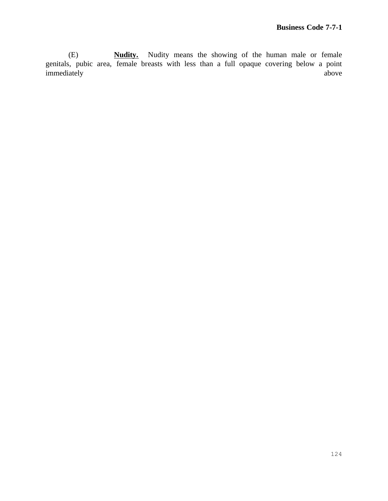(E) **Nudity.** Nudity means the showing of the human male or female genitals, pubic area, female breasts with less than a full opaque covering below a point immediately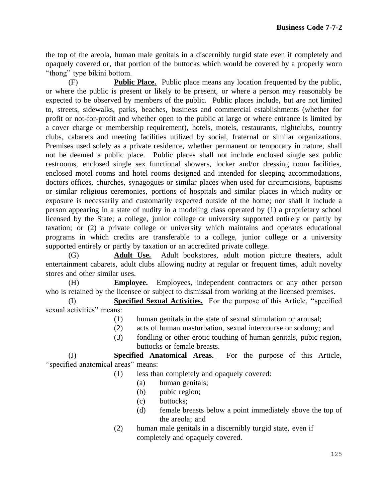the top of the areola, human male genitals in a discernibly turgid state even if completely and opaquely covered or, that portion of the buttocks which would be covered by a properly worn "thong" type bikini bottom.

(F) **Public Place.** Public place means any location frequented by the public, or where the public is present or likely to be present, or where a person may reasonably be expected to be observed by members of the public. Public places include, but are not limited to, streets, sidewalks, parks, beaches, business and commercial establishments (whether for profit or not-for-profit and whether open to the public at large or where entrance is limited by a cover charge or membership requirement), hotels, motels, restaurants, nightclubs, country clubs, cabarets and meeting facilities utilized by social, fraternal or similar organizations. Premises used solely as a private residence, whether permanent or temporary in nature, shall not be deemed a public place. Public places shall not include enclosed single sex public restrooms, enclosed single sex functional showers, locker and/or dressing room facilities, enclosed motel rooms and hotel rooms designed and intended for sleeping accommodations, doctors offices, churches, synagogues or similar places when used for circumcisions, baptisms or similar religious ceremonies, portions of hospitals and similar places in which nudity or exposure is necessarily and customarily expected outside of the home; nor shall it include a person appearing in a state of nudity in a modeling class operated by (1) a proprietary school licensed by the State; a college, junior college or university supported entirely or partly by taxation; or (2) a private college or university which maintains and operates educational programs in which credits are transferable to a college, junior college or a university supported entirely or partly by taxation or an accredited private college.

(G) **Adult Use.** Adult bookstores, adult motion picture theaters, adult entertainment cabarets, adult clubs allowing nudity at regular or frequent times, adult novelty stores and other similar uses.

(H) **Employee.** Employees, independent contractors or any other person who is retained by the licensee or subject to dismissal from working at the licensed premises.

(I) **Specified Sexual Activities.** For the purpose of this Article, "specified sexual activities" means:

- (1) human genitals in the state of sexual stimulation or arousal;
- (2) acts of human masturbation, sexual intercourse or sodomy; and
- (3) fondling or other erotic touching of human genitals, pubic region, buttocks or female breasts.

(J) **Specified Anatomical Areas.** For the purpose of this Article, "specified anatomical areas" means:

- (1) less than completely and opaquely covered:
	- (a) human genitals;
	- (b) pubic region;
	- (c) buttocks;
	- (d) female breasts below a point immediately above the top of the areola; and
	- (2) human male genitals in a discernibly turgid state, even if completely and opaquely covered.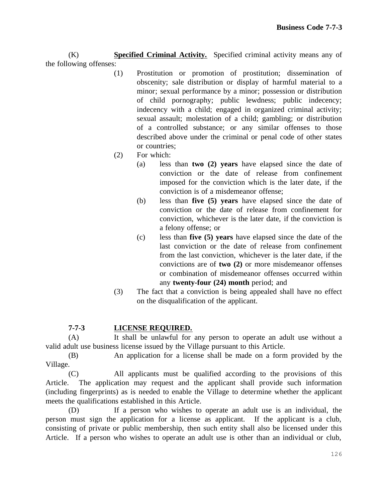(K) **Specified Criminal Activity.** Specified criminal activity means any of the following offenses:

- (1) Prostitution or promotion of prostitution; dissemination of obscenity; sale distribution or display of harmful material to a minor; sexual performance by a minor; possession or distribution of child pornography; public lewdness; public indecency; indecency with a child; engaged in organized criminal activity; sexual assault; molestation of a child; gambling; or distribution of a controlled substance; or any similar offenses to those described above under the criminal or penal code of other states or countries;
- (2) For which:
	- (a) less than **two (2) years** have elapsed since the date of conviction or the date of release from confinement imposed for the conviction which is the later date, if the conviction is of a misdemeanor offense;
	- (b) less than **five (5) years** have elapsed since the date of conviction or the date of release from confinement for conviction, whichever is the later date, if the conviction is a felony offense; or
	- (c) less than **five (5) years** have elapsed since the date of the last conviction or the date of release from confinement from the last conviction, whichever is the later date, if the convictions are of **two (2)** or more misdemeanor offenses or combination of misdemeanor offenses occurred within any **twenty-four (24) month** period; and
- (3) The fact that a conviction is being appealed shall have no effect on the disqualification of the applicant.

# **7-7-3 LICENSE REQUIRED.**

(A) It shall be unlawful for any person to operate an adult use without a valid adult use business license issued by the Village pursuant to this Article.

(B) An application for a license shall be made on a form provided by the Village.

(C) All applicants must be qualified according to the provisions of this Article. The application may request and the applicant shall provide such information (including fingerprints) as is needed to enable the Village to determine whether the applicant meets the qualifications established in this Article.

(D) If a person who wishes to operate an adult use is an individual, the person must sign the application for a license as applicant. If the applicant is a club, consisting of private or public membership, then such entity shall also be licensed under this Article. If a person who wishes to operate an adult use is other than an individual or club,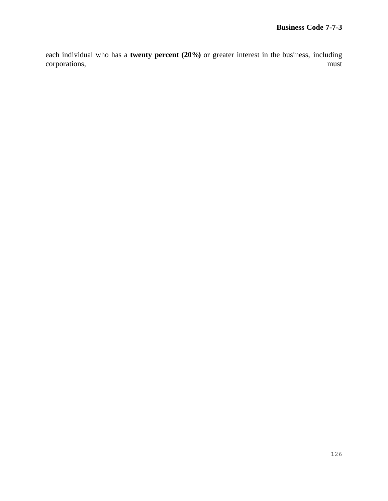each individual who has a **twenty percent (20%)** or greater interest in the business, including corporations, corporations,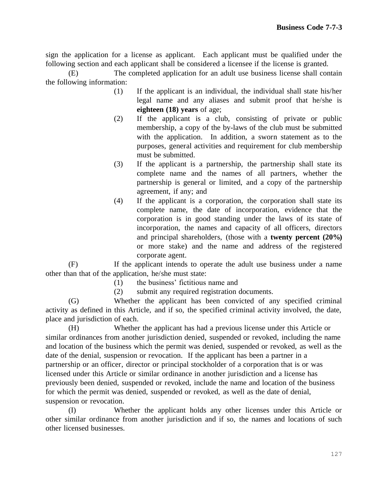sign the application for a license as applicant. Each applicant must be qualified under the following section and each applicant shall be considered a licensee if the license is granted.

(E) The completed application for an adult use business license shall contain the following information:

- (1) If the applicant is an individual, the individual shall state his/her legal name and any aliases and submit proof that he/she is **eighteen (18) years** of age;
- (2) If the applicant is a club, consisting of private or public membership, a copy of the by-laws of the club must be submitted with the application. In addition, a sworn statement as to the purposes, general activities and requirement for club membership must be submitted.
- (3) If the applicant is a partnership, the partnership shall state its complete name and the names of all partners, whether the partnership is general or limited, and a copy of the partnership agreement, if any; and
- (4) If the applicant is a corporation, the corporation shall state its complete name, the date of incorporation, evidence that the corporation is in good standing under the laws of its state of incorporation, the names and capacity of all officers, directors and principal shareholders, (those with a **twenty percent (20%)** or more stake) and the name and address of the registered corporate agent.

(F) If the applicant intends to operate the adult use business under a name other than that of the application, he/she must state:

- (1) the business' fictitious name and
- (2) submit any required registration documents.

(G) Whether the applicant has been convicted of any specified criminal activity as defined in this Article, and if so, the specified criminal activity involved, the date, place and jurisdiction of each.

(H) Whether the applicant has had a previous license under this Article or similar ordinances from another jurisdiction denied, suspended or revoked, including the name and location of the business which the permit was denied, suspended or revoked, as well as the date of the denial, suspension or revocation. If the applicant has been a partner in a partnership or an officer, director or principal stockholder of a corporation that is or was licensed under this Article or similar ordinance in another jurisdiction and a license has previously been denied, suspended or revoked, include the name and location of the business for which the permit was denied, suspended or revoked, as well as the date of denial, suspension or revocation.

(I) Whether the applicant holds any other licenses under this Article or other similar ordinance from another jurisdiction and if so, the names and locations of such other licensed businesses.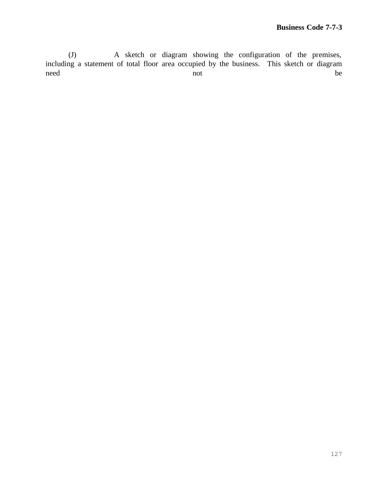(J) A sketch or diagram showing the configuration of the premises, including a statement of total floor area occupied by the business. This sketch or diagram need **here** not be be a not be a set of  $\alpha$  be a set of  $\alpha$  be a set of  $\alpha$  be a set of  $\alpha$  be a set of  $\alpha$  be a set of  $\alpha$  be a set of  $\alpha$  be a set of  $\alpha$  be a set of  $\alpha$  be a set of  $\alpha$  be a set of  $\alpha$  be a se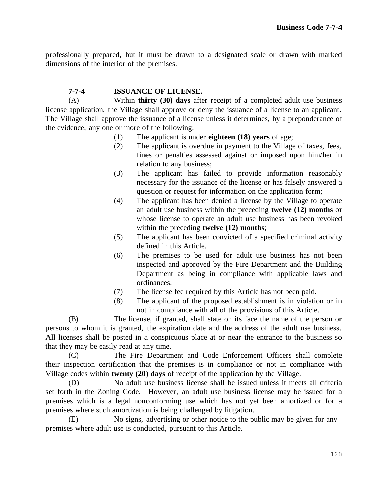professionally prepared, but it must be drawn to a designated scale or drawn with marked dimensions of the interior of the premises.

## **7-7-4 ISSUANCE OF LICENSE.**

(A) Within **thirty (30) days** after receipt of a completed adult use business license application, the Village shall approve or deny the issuance of a license to an applicant. The Village shall approve the issuance of a license unless it determines, by a preponderance of the evidence, any one or more of the following:

- (1) The applicant is under **eighteen (18) years** of age;
- (2) The applicant is overdue in payment to the Village of taxes, fees, fines or penalties assessed against or imposed upon him/her in relation to any business;
- (3) The applicant has failed to provide information reasonably necessary for the issuance of the license or has falsely answered a question or request for information on the application form;
- (4) The applicant has been denied a license by the Village to operate an adult use business within the preceding **twelve (12) months** or whose license to operate an adult use business has been revoked within the preceding **twelve (12) months**;
- (5) The applicant has been convicted of a specified criminal activity defined in this Article.
- (6) The premises to be used for adult use business has not been inspected and approved by the Fire Department and the Building Department as being in compliance with applicable laws and ordinances.
- (7) The license fee required by this Article has not been paid.
- (8) The applicant of the proposed establishment is in violation or in not in compliance with all of the provisions of this Article.

(B) The license, if granted, shall state on its face the name of the person or persons to whom it is granted, the expiration date and the address of the adult use business. All licenses shall be posted in a conspicuous place at or near the entrance to the business so that they may be easily read at any time.

(C) The Fire Department and Code Enforcement Officers shall complete their inspection certification that the premises is in compliance or not in compliance with Village codes within **twenty (20) days** of receipt of the application by the Village.

(D) No adult use business license shall be issued unless it meets all criteria set forth in the Zoning Code. However, an adult use business license may be issued for a premises which is a legal nonconforming use which has not yet been amortized or for a premises where such amortization is being challenged by litigation.

(E) No signs, advertising or other notice to the public may be given for any premises where adult use is conducted, pursuant to this Article.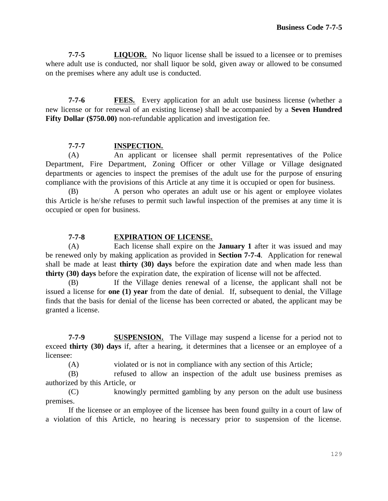**7-7-5 LIQUOR.** No liquor license shall be issued to a licensee or to premises where adult use is conducted, nor shall liquor be sold, given away or allowed to be consumed on the premises where any adult use is conducted.

**7-7-6 FEES.** Every application for an adult use business license (whether a new license or for renewal of an existing license) shall be accompanied by a **Seven Hundred Fifty Dollar (\$750.00)** non-refundable application and investigation fee.

## **7-7-7 INSPECTION.**

(A) An applicant or licensee shall permit representatives of the Police Department, Fire Department, Zoning Officer or other Village or Village designated departments or agencies to inspect the premises of the adult use for the purpose of ensuring compliance with the provisions of this Article at any time it is occupied or open for business.

(B) A person who operates an adult use or his agent or employee violates this Article is he/she refuses to permit such lawful inspection of the premises at any time it is occupied or open for business.

## **7-7-8 EXPIRATION OF LICENSE.**

(A) Each license shall expire on the **January 1** after it was issued and may be renewed only by making application as provided in **Section 7-7-4**. Application for renewal shall be made at least **thirty (30) days** before the expiration date and when made less than **thirty (30) days** before the expiration date, the expiration of license will not be affected.

(B) If the Village denies renewal of a license, the applicant shall not be issued a license for **one (1) year** from the date of denial. If, subsequent to denial, the Village finds that the basis for denial of the license has been corrected or abated, the applicant may be granted a license.

**7-7-9 SUSPENSION.** The Village may suspend a license for a period not to exceed **thirty (30) days** if, after a hearing, it determines that a licensee or an employee of a licensee:

(A) violated or is not in compliance with any section of this Article;

(B) refused to allow an inspection of the adult use business premises as authorized by this Article, or

(C) knowingly permitted gambling by any person on the adult use business premises.

If the licensee or an employee of the licensee has been found guilty in a court of law of a violation of this Article, no hearing is necessary prior to suspension of the license.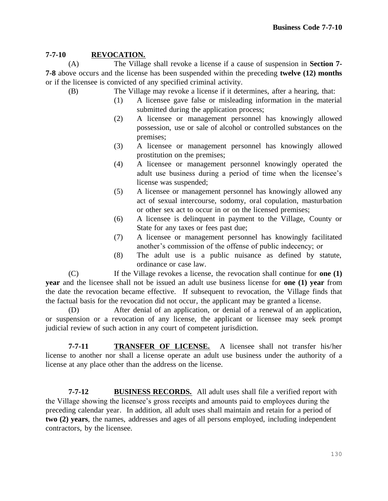## **7-7-10 REVOCATION.**

(A) The Village shall revoke a license if a cause of suspension in **Section 7- 7-8** above occurs and the license has been suspended within the preceding **twelve (12) months** or if the licensee is convicted of any specified criminal activity.

- (B) The Village may revoke a license if it determines, after a hearing, that:
	- (1) A licensee gave false or misleading information in the material submitted during the application process;
	- (2) A licensee or management personnel has knowingly allowed possession, use or sale of alcohol or controlled substances on the premises;
	- (3) A licensee or management personnel has knowingly allowed prostitution on the premises;
	- (4) A licensee or management personnel knowingly operated the adult use business during a period of time when the licensee's license was suspended;
	- (5) A licensee or management personnel has knowingly allowed any act of sexual intercourse, sodomy, oral copulation, masturbation or other sex act to occur in or on the licensed premises;
	- (6) A licensee is delinquent in payment to the Village, County or State for any taxes or fees past due;
	- (7) A licensee or management personnel has knowingly facilitated another's commission of the offense of public indecency; or
	- (8) The adult use is a public nuisance as defined by statute, ordinance or case law.

(C) If the Village revokes a license, the revocation shall continue for **one (1) year** and the licensee shall not be issued an adult use business license for **one (1) year** from the date the revocation became effective. If subsequent to revocation, the Village finds that the factual basis for the revocation did not occur, the applicant may be granted a license.

(D) After denial of an application, or denial of a renewal of an application, or suspension or a revocation of any license, the applicant or licensee may seek prompt judicial review of such action in any court of competent jurisdiction.

**7-7-11 TRANSFER OF LICENSE.** A licensee shall not transfer his/her license to another nor shall a license operate an adult use business under the authority of a license at any place other than the address on the license.

**7-7-12 BUSINESS RECORDS.** All adult uses shall file a verified report with the Village showing the licensee's gross receipts and amounts paid to employees during the preceding calendar year. In addition, all adult uses shall maintain and retain for a period of **two (2) years**, the names, addresses and ages of all persons employed, including independent contractors, by the licensee.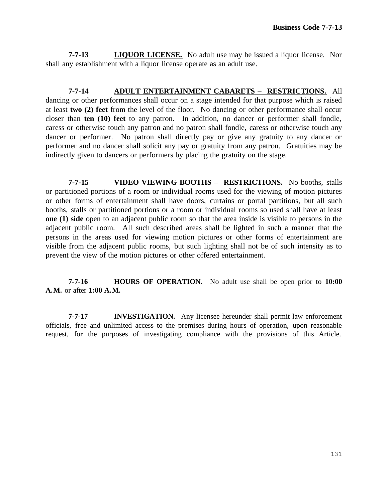**7-7-13 LIQUOR LICENSE.** No adult use may be issued a liquor license. Nor shall any establishment with a liquor license operate as an adult use.

**7-7-14 ADULT ENTERTAINMENT CABARETS – RESTRICTIONS.** All dancing or other performances shall occur on a stage intended for that purpose which is raised at least **two (2) feet** from the level of the floor. No dancing or other performance shall occur closer than **ten (10) feet** to any patron. In addition, no dancer or performer shall fondle, caress or otherwise touch any patron and no patron shall fondle, caress or otherwise touch any dancer or performer. No patron shall directly pay or give any gratuity to any dancer or performer and no dancer shall solicit any pay or gratuity from any patron. Gratuities may be indirectly given to dancers or performers by placing the gratuity on the stage.

**7-7-15 VIDEO VIEWING BOOTHS – RESTRICTIONS.** No booths, stalls or partitioned portions of a room or individual rooms used for the viewing of motion pictures or other forms of entertainment shall have doors, curtains or portal partitions, but all such booths, stalls or partitioned portions or a room or individual rooms so used shall have at least **one (1) side** open to an adjacent public room so that the area inside is visible to persons in the adjacent public room. All such described areas shall be lighted in such a manner that the persons in the areas used for viewing motion pictures or other forms of entertainment are visible from the adjacent public rooms, but such lighting shall not be of such intensity as to prevent the view of the motion pictures or other offered entertainment.

**7-7-16 HOURS OF OPERATION.** No adult use shall be open prior to **10:00 A.M.** or after **1:00 A.M.**

**7-7-17 INVESTIGATION.** Any licensee hereunder shall permit law enforcement officials, free and unlimited access to the premises during hours of operation, upon reasonable request, for the purposes of investigating compliance with the provisions of this Article.